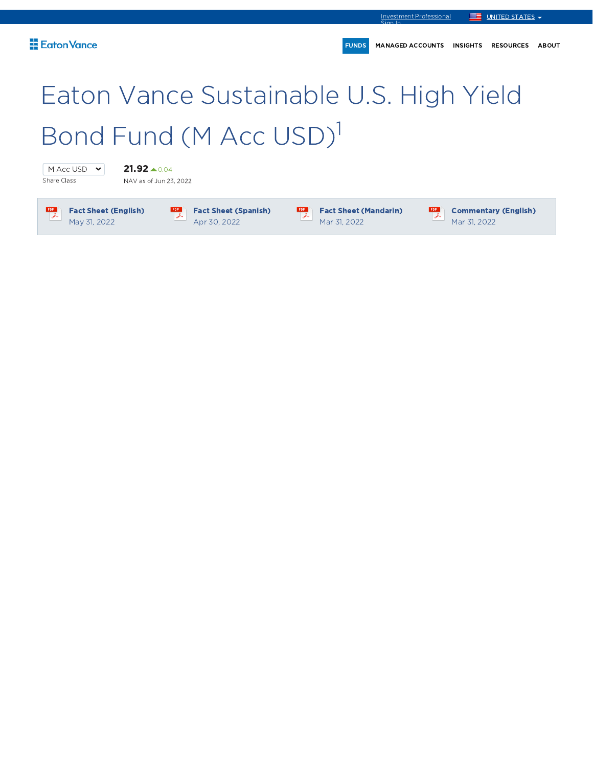# Eaton Vance Sustainable U.S. High Yield Bond Fund (M Acc USD) 1

 $\frac{PDF}{\lambda}$ 

M Acc USD  $\cdot$ Share Class

 $21.92 \scriptsize{\triangle} 0.04$ NAV as of Jun 23, 2022

 $\frac{PDF}{\lambda}$ 

Fact Sheet (English) May 31, 2022

 $\begin{array}{c}\n\text{PDF} \\
\hline\n\end{array}$ Fact Sheet (Spanish) Apr 30, 2022

Fact Sheet (Mandarin) Mar 31, 2022

 $\frac{PDF}{\lambda}$ 

Commentary (English) Mar 31, 2022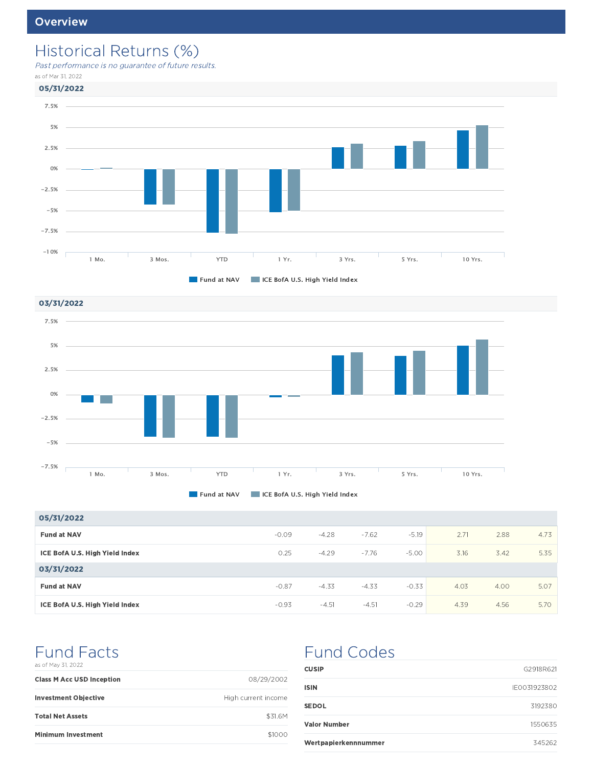### Historical Returns (%)

Past performance is no guarantee of future results.

as of Mar 31, 2022



03/31/2022 7.5% 5% 2.5% 0% **College** -2.5% -5%  $-7.5%$ 1 Mo. 3 Mos. YTD 1 Yr. 3 Yrs. 5 Yrs. 10 Yrs.



| 05/31/2022                     |         |         |         |         |      |      |      |
|--------------------------------|---------|---------|---------|---------|------|------|------|
| <b>Fund at NAV</b>             | $-0.09$ | $-4.28$ | $-7.62$ | $-5.19$ | 2.71 | 2.88 | 4.73 |
| ICE BofA U.S. High Yield Index | 0.25    | $-4.29$ | $-7.76$ | $-5.00$ | 3.16 | 3.42 | 5.35 |
| 03/31/2022                     |         |         |         |         |      |      |      |
| <b>Fund at NAV</b>             | $-0.87$ | $-4.33$ | $-4.33$ | $-0.33$ | 4.03 | 4.00 | 5.07 |
| ICE BofA U.S. High Yield Index | $-0.93$ | $-4.51$ | $-4.51$ | $-0.29$ | 4.39 | 4.56 | 5.70 |

#### Fund Facts as of May 31, 2022

| <b>Class M Acc USD Inception</b> | 08/29/2002          |
|----------------------------------|---------------------|
| <b>Investment Objective</b>      | High current income |
| <b>Total Net Assets</b>          | \$31.6M             |
| <b>Minimum Investment</b>        | \$1000              |

### Fund Codes

| <b>CUSIP</b>         | G2918R621    |
|----------------------|--------------|
| ISIN                 | IE0031923802 |
| <b>SEDOL</b>         | 3192380      |
| <b>Valor Number</b>  | 1550635      |
| Wertpapierkennnummer | 345262       |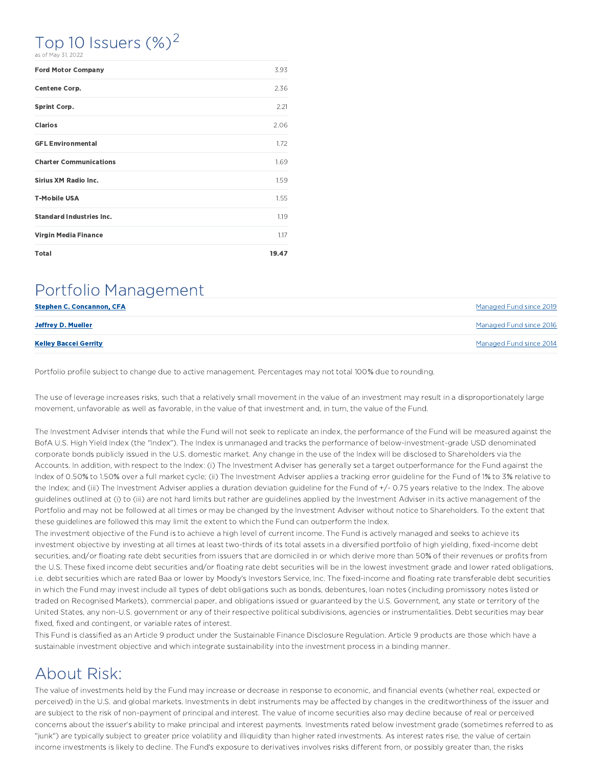### Top 10 Issuers  $(\%)^2$

|  |  |  | as of May 31, 2022 |  |
|--|--|--|--------------------|--|
|--|--|--|--------------------|--|

| <b>Ford Motor Company</b>       | 3.93  |
|---------------------------------|-------|
| Centene Corp.                   | 2.36  |
| <b>Sprint Corp.</b>             | 2.21  |
| <b>Clarios</b>                  | 2.06  |
| <b>GFL Environmental</b>        | 1.72  |
| <b>Charter Communications</b>   | 1.69  |
| <b>Sirius XM Radio Inc.</b>     | 1.59  |
| <b>T-Mobile USA</b>             | 1.55  |
| <b>Standard Industries Inc.</b> | 1.19  |
| <b>Virgin Media Finance</b>     | 1.17  |
| <b>Total</b>                    | 19.47 |

### Portfolio Management

| <b>Stephen C. Concannon, CFA</b> | Managed Fund since 2019 |
|----------------------------------|-------------------------|
| Jeffrey D. Mueller               | Managed Fund since 2016 |
| <b>Kelley Baccei Gerrity</b>     | Managed Fund since 2014 |

Portfolio profile subject to change due to active management. Percentages may not total 100% due to rounding.

The use of leverage increases risks, such that a relatively small movement in the value of an investment may result in a disproportionately large movement, unfavorable as well as favorable, in the value of that investment and, in turn, the value of the Fund.

The Investment Adviser intends that while the Fund will not seek to replicate an index, the performance of the Fund will be measured against the BofA U.S. High Yield Index (the "Index"). The Index is unmanaged and tracks the performance of below-investment-grade USD denominated corporate bonds publicly issued in the U.S. domestic market. Any change in the use of the Index will be disclosed to Shareholders via the Accounts. In addition, with respect to the Index: (i) The Investment Adviser has generally set a target outperformance for the Fund against the Index of 0.50% to 1.50% over a full market cycle; (ii) The Investment Adviser applies a tracking error guideline for the Fund of 1% to 3% relative to the Index; and (iii) The Investment Adviser applies a duration deviation guideline for the Fund of +/- 0.75 years relative to the Index. The above guidelines outlined at (i) to (iii) are not hard limits but rather are guidelines applied by the Investment Adviser in its active management of the Portfolio and may not be followed at all times or may be changed by the Investment Adviser without notice to Shareholders. To the extent that these guidelines are followed this may limit the extent to which the Fund can outperform the Index.

The investment objective of the Fund is to achieve a high level of current income. The Fund is actively managed and seeks to achieve its investment objective by investing at all times at least two-thirds of its total assets in a diversified portfolio of high yielding, fixed-income debt securities, and/or floating rate debt securities from issuers that are domiciled in or which derive more than 50% of their revenues or profits from the U.S. These fixed income debt securities and/or floating rate debt securities will be in the lowest investment grade and lower rated obligations, i.e. debt securities which are rated Baa or lower by Moody's Investors Service, Inc. The fixed-income and floating rate transferable debt securities in which the Fund may invest include all types of debt obligations such as bonds, debentures, loan notes (including promissory notes listed or traded on Recognised Markets), commercial paper, and obligations issued or guaranteed by the U.S. Government, any state or territory of the United States, any non-U.S. government or any of their respective political subdivisions, agencies or instrumentalities. Debt securities may bear fixed, fixed and contingent, or variable rates of interest.

This Fund is classified as an Article 9 product under the Sustainable Finance Disclosure Regulation. Article 9 products are those which have a sustainable investment objective and which integrate sustainability into the investment process in a binding manner.

### About Risk:

The value of investments held by the Fund may increase or decrease in response to economic, and financial events (whether real, expected or perceived) in the U.S. and global markets. Investments in debt instruments may be affected by changes in the creditworthiness of the issuer and are subject to the risk of non-payment of principal and interest. The value of income securities also may decline because of real or perceived concerns about the issuer's ability to make principal and interest payments. Investments rated below investment grade (sometimes referred to as "junk") are typically subject to greater price volatility and illiquidity than higher rated investments. As interest rates rise, the value of certain income investments is likely to decline. The Fund's exposure to derivatives involves risks different from, or possibly greater than, the risks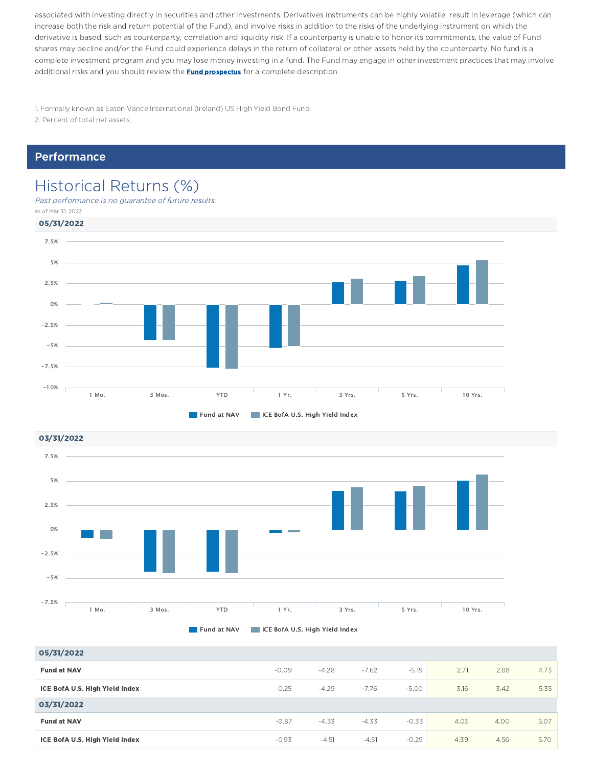associated with investing directly in securities and other investments. Derivatives instruments can be highly volatile, result in leverage (which can increase both the risk and return potential of the Fund), and involve risks in addition to the risks of the underlying instrument on which the derivative is based, such as counterparty, correlation and liquidity risk. If a counterparty is unable to honor its commitments, the value of Fund shares may decline and/or the Fund could experience delays in the return of collateral or other assets held by the counterparty. No fund is a complete investment program and you may lose money investing in a fund. The Fund may engage in other investment practices that may involve additional risks and you should review the **Fund prospectus** for a complete description.

1. Formally known as Eaton Vance International (Ireland) US High Yield Bond Fund.

2. Percent of total net assets.

#### Performance

### Historical Returns (%)

Past performance is no guarantee of future results. as of Mar 31, 2022





**Fund at NAV IF ICE BofA U.S. High Yield Index** 

**Fund at NAV ICE BofA U.S. High Yield Index** 

| 05/31/2022                     |         |         |         |         |      |      |      |
|--------------------------------|---------|---------|---------|---------|------|------|------|
| <b>Fund at NAV</b>             | $-0.09$ | $-4.28$ | $-7.62$ | $-5.19$ | 2.71 | 2.88 | 4.73 |
| ICE BofA U.S. High Yield Index | 0.25    | $-4.29$ | $-7.76$ | $-5.00$ | 3.16 | 3.42 | 5.35 |
| 03/31/2022                     |         |         |         |         |      |      |      |
| <b>Fund at NAV</b>             | $-0.87$ | $-4.33$ | $-4.33$ | $-0.33$ | 4.03 | 4.00 | 5.07 |
| ICE BofA U.S. High Yield Index | $-0.93$ | $-4.51$ | $-4.51$ | $-0.29$ | 4.39 | 4.56 | 5.70 |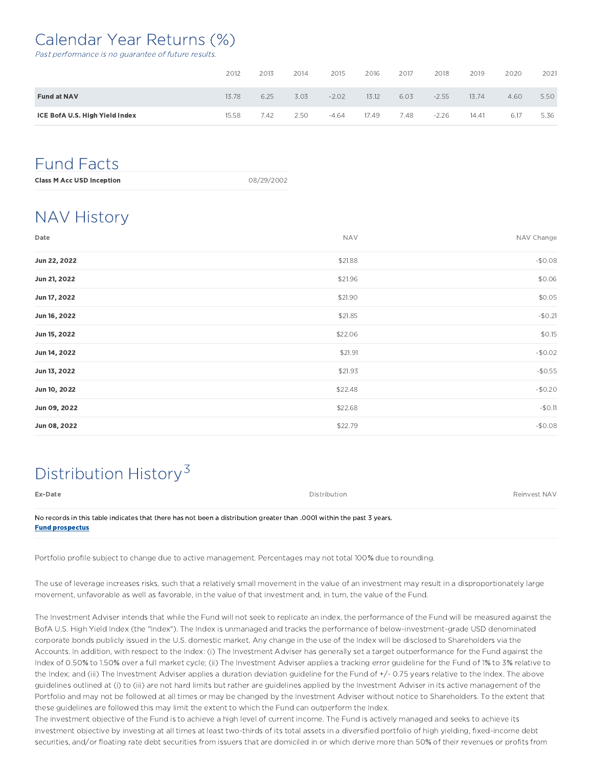### Calendar Year Returns (%)

Past performance is no guarantee of future results.

|                                | 2012  | 2013 | 2014 | 2015    | 2016  | 2017 | 2018    | 2019  | 2020 | 2021 |
|--------------------------------|-------|------|------|---------|-------|------|---------|-------|------|------|
| <b>Fund at NAV</b>             | 13.78 | 6.25 | 3.03 | $-2.02$ | 13.12 | 6.03 | $-2.55$ | 13.74 | 4.60 | 5.50 |
| ICE BofA U.S. High Yield Index | 15.58 | 7.42 | 2.50 | $-4.64$ | 17.49 | 7.48 | $-2.26$ | 14.41 | 6.17 | 5.36 |

### Fund Facts

| 08/29/2002<br><b>Class M Acc USD Inception</b> |  |
|------------------------------------------------|--|
|------------------------------------------------|--|

### NAV History

| Date         | <b>NAV</b> | NAV Change |
|--------------|------------|------------|
| Jun 22, 2022 | \$21.88    | $-$0.08$   |
| Jun 21, 2022 | \$21.96    | \$0.06     |
| Jun 17, 2022 | \$21.90    | \$0.05     |
| Jun 16, 2022 | \$21.85    | $-$0.21$   |
| Jun 15, 2022 | \$22.06    | \$0.15     |
| Jun 14, 2022 | \$21.91    | $-$0.02$   |
| Jun 13, 2022 | \$21.93    | $-$0.55$   |
| Jun 10, 2022 | \$22.48    | $-$0.20$   |
| Jun 09, 2022 | \$22.68    | $-50.11$   |
| Jun 08, 2022 | \$22.79    | $-$0.08$   |

### Distribution History<sup>3</sup>

| Ex-Date                                                                                                              | Distribution | Reinvest NAV |
|----------------------------------------------------------------------------------------------------------------------|--------------|--------------|
| No records in this table indicates that there has not been a distribution greater than 0001 within the past 3 years. |              |              |
| <b>Fund prospectus</b>                                                                                               |              |              |

Portfolio profile subject to change due to active management. Percentages may not total 100% due to rounding.

The use of leverage increases risks, such that a relatively small movement in the value of an investment may result in a disproportionately large movement, unfavorable as well as favorable, in the value of that investment and, in turn, the value of the Fund.

The Investment Adviser intends that while the Fund will not seek to replicate an index, the performance of the Fund will be measured against the BofA U.S. High Yield Index (the "Index"). The Index is unmanaged and tracks the performance of below-investment-grade USD denominated corporate bonds publicly issued in the U.S. domestic market. Any change in the use of the Index will be disclosed to Shareholders via the Accounts. In addition, with respect to the Index: (i) The Investment Adviser has generally set a target outperformance for the Fund against the Index of 0.50% to 1.50% over a full market cycle; (ii) The Investment Adviser applies a tracking error guideline for the Fund of 1% to 3% relative to the Index; and (iii) The Investment Adviser applies a duration deviation guideline for the Fund of +/- 0.75 years relative to the Index. The above guidelines outlined at (i) to (iii) are not hard limits but rather are guidelines applied by the Investment Adviser in its active management of the Portfolio and may not be followed at all times or may be changed by the Investment Adviser without notice to Shareholders. To the extent that these guidelines are followed this may limit the extent to which the Fund can outperform the Index.

The investment objective of the Fund is to achieve a high level of current income. The Fund is actively managed and seeks to achieve its investment objective by investing at all times at least two-thirds of its total assets in a diversified portfolio of high yielding, fixed-income debt securities, and/or floating rate debt securities from issuers that are domiciled in or which derive more than 50% of their revenues or profits from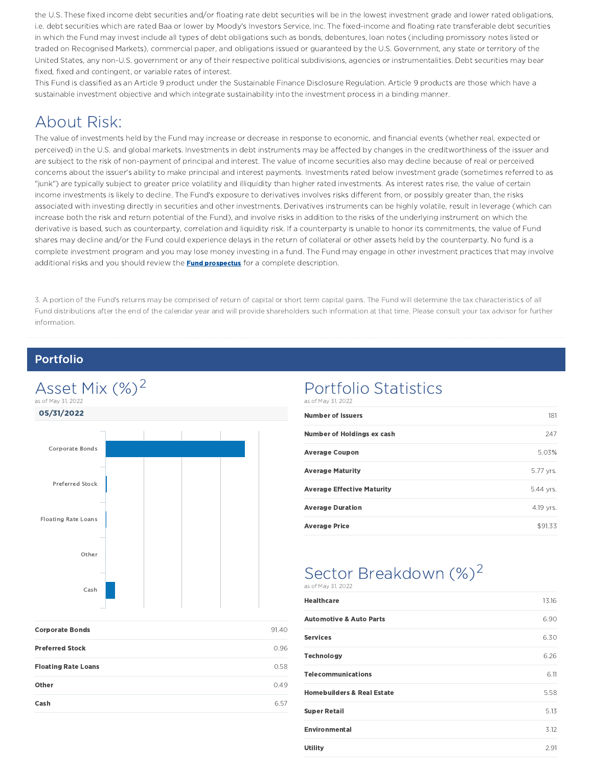the U.S. These fixed income debt securities and/or floating rate debt securities will be in the lowest investment grade and lower rated obligations, i.e. debt securities which are rated Baa or lower by Moody's Investors Service, Inc. The fixed-income and floating rate transferable debt securities in which the Fund may invest include all types of debt obligations such as bonds, debentures, loan notes (including promissory notes listed or traded on Recognised Markets), commercial paper, and obligations issued or guaranteed by the U.S. Government, any state or territory of the United States, any non-U.S. government or any of their respective political subdivisions, agencies or instrumentalities. Debt securities may bear fixed, fixed and contingent, or variable rates of interest.

This Fund is classified as an Article 9 product under the Sustainable Finance Disclosure Regulation. Article 9 products are those which have a sustainable investment objective and which integrate sustainability into the investment process in a binding manner.

### About Risk:

The value of investments held by the Fund may increase or decrease in response to economic, and financial events (whether real, expected or perceived) in the U.S. and global markets. Investments in debt instruments may be affected by changes in the creditworthiness of the issuer and are subject to the risk of non-payment of principal and interest. The value of income securities also may decline because of real or perceived concerns about the issuer's ability to make principal and interest payments. Investments rated below investment grade (sometimes referred to as "junk") are typically subject to greater price volatility and illiquidity than higher rated investments. As interest rates rise, the value of certain income investments is likely to decline. The Fund's exposure to derivatives involves risks different from, or possibly greater than, the risks associated with investing directly in securities and other investments. Derivatives instruments can be highly volatile, result in leverage (which can increase both the risk and return potential of the Fund), and involve risks in addition to the risks of the underlying instrument on which the derivative is based, such as counterparty, correlation and liquidity risk. If a counterparty is unable to honor its commitments, the value of Fund shares may decline and/or the Fund could experience delays in the return of collateral or other assets held by the counterparty. No fund is a complete investment program and you may lose money investing in a fund. The Fund may engage in other investment practices that may involve additional risks and you should review the **Fund prospectus** for a complete description.

3. A portion of the Fund's returns may be comprised of return of capital or short term capital gains. The Fund will determine the tax characteristics of all Fund distributions after the end of the calendar year and will provide shareholders such information at that time. Please consult your tax advisor for further information.

#### Portfolio



# Portfolio Statistics

| as of May 31, 2022                |           |
|-----------------------------------|-----------|
| <b>Number of Issuers</b>          | 181       |
| Number of Holdings ex cash        | 247       |
| <b>Average Coupon</b>             | 5.03%     |
| <b>Average Maturity</b>           | 5.77 yrs. |
| <b>Average Effective Maturity</b> | 5.44 vrs. |
| <b>Average Duration</b>           | 4.19 yrs. |
| <b>Average Price</b>              | \$91.33   |

#### Sector Breakdown (%)<sup>2</sup> as of May 31, 2022

| <b>Healthcare</b>                     | 13.16 |
|---------------------------------------|-------|
| <b>Automotive &amp; Auto Parts</b>    | 6.90  |
| <b>Services</b>                       | 6.30  |
| <b>Technology</b>                     | 6.26  |
| <b>Telecommunications</b>             | 6.11  |
| <b>Homebuilders &amp; Real Estate</b> | 5.58  |
| <b>Super Retail</b>                   | 5.13  |
| <b>Environmental</b>                  | 3.12  |
| <b>Utility</b>                        | 2.91  |

| <b>Corporate Bonds</b>     | 91.40 |
|----------------------------|-------|
| <b>Preferred Stock</b>     | 0.96  |
| <b>Floating Rate Loans</b> | 0.58  |
| Other                      | 0.49  |
| Cash                       | 657   |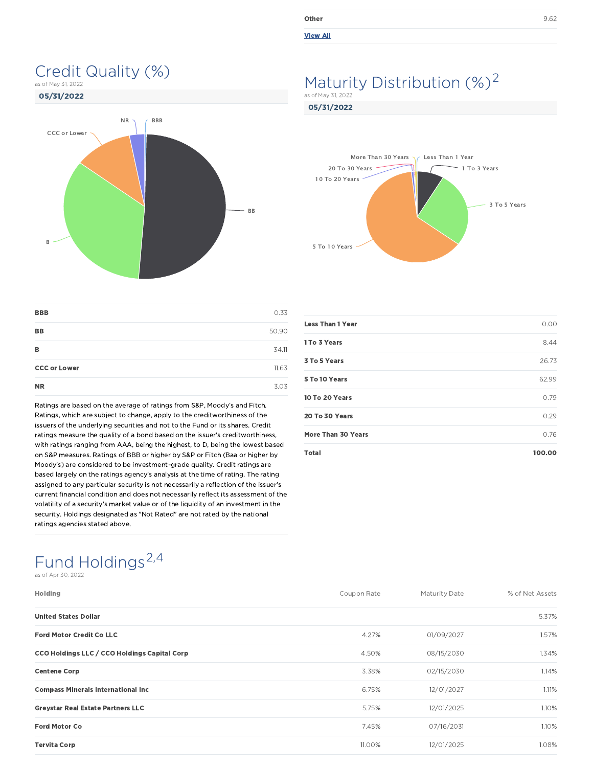| Other                    | 9.62 |
|--------------------------|------|
| <b>NAME AND A REPORT</b> |      |

#### View All

05/31/2022

#### Maturity Distribution (%)<sup>2</sup> as of May 31, 2022



Credit Quality (%)

as of May 31, 2022



| <b>BBB</b>          | 0.33  |
|---------------------|-------|
| <b>BB</b>           | 50.90 |
| в                   | 34.11 |
| <b>CCC or Lower</b> | 11.63 |
| <b>NR</b>           | 3.03  |

Ratings are based on the average of ratings from S&P, Moody's and Fitch. Ratings, which are subject to change, apply to the creditworthiness of the issuers of the underlying securities and not to the Fund or its shares. Credit ratings measure the quality of a bond based on the issuer's creditworthiness, with ratings ranging from AAA, being the highest, to D, being the lowest based on S&P measures. Ratings of BBB or higher by S&P or Fitch (Baa or higher by Moody's) are considered to be investment-grade quality. Credit ratings are based largely on the ratings agency's analysis at the time of rating. The rating assigned to any particular security is not necessarily a reflection of the issuer's current financial condition and does not necessarily reflect its assessment of the volatility of a security's market value or of the liquidity of an investment in the security. Holdings designated as "Not Rated" are not rated by the national ratings agencies stated above.

| <b>Less Than 1 Year</b> | 0.00   |
|-------------------------|--------|
| 1 To 3 Years            | 8.44   |
| 3 To 5 Years            | 26.73  |
| 5 To 10 Years           | 62.99  |
| 10 To 20 Years          | 0.79   |
| 20 To 30 Years          | 0.29   |
| More Than 30 Years      | 0.76   |
| <b>Total</b>            | 100.00 |

## Fund Holdings<sup>2,4</sup>

as of Apr 30, 2022

| <b>Holding</b>                               | Coupon Rate | Maturity Date | % of Net Assets |
|----------------------------------------------|-------------|---------------|-----------------|
| <b>United States Dollar</b>                  |             |               | 5.37%           |
| <b>Ford Motor Credit Co LLC</b>              | 4.27%       | 01/09/2027    | 1.57%           |
| CCO Holdings LLC / CCO Holdings Capital Corp | 4.50%       | 08/15/2030    | 1.34%           |
| <b>Centene Corp</b>                          | 3.38%       | 02/15/2030    | 1.14%           |
| <b>Compass Minerals International Inc.</b>   | 6.75%       | 12/01/2027    | 1.11%           |
| <b>Greystar Real Estate Partners LLC</b>     | 5.75%       | 12/01/2025    | 1.10%           |
| <b>Ford Motor Co</b>                         | 7.45%       | 07/16/2031    | 1.10%           |
| <b>Tervita Corp</b>                          | 11.00%      | 12/01/2025    | 1.08%           |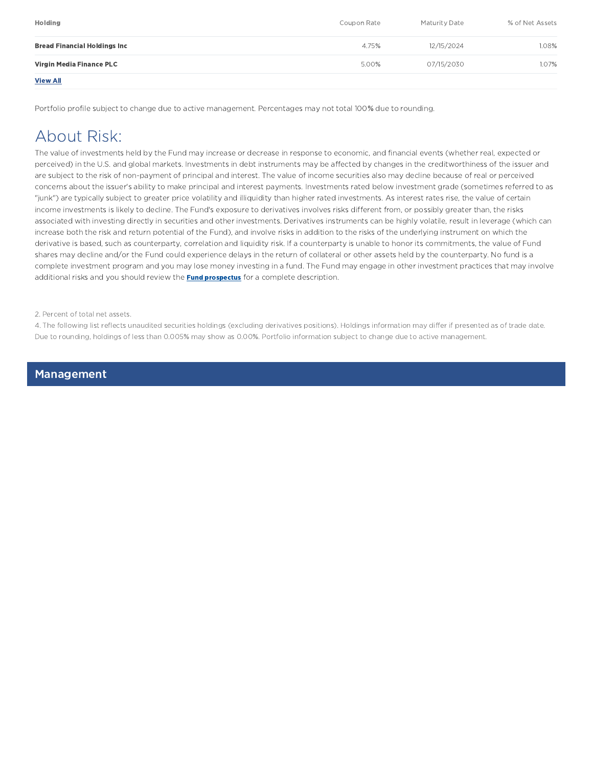| <b>Holding</b>                       | Coupon Rate | <b>Maturity Date</b> | % of Net Assets |
|--------------------------------------|-------------|----------------------|-----------------|
| <b>Bread Financial Holdings Inc.</b> | 4.75%       | 12/15/2024           | 1.08%           |
| Virgin Media Finance PLC             | 5.00%       | 07/15/2030           | 1.07%           |
| <b>View All</b>                      |             |                      |                 |

Portfolio profile subject to change due to active management. Percentages may not total 100% due to rounding.

### About Risk:

The value of investments held by the Fund may increase or decrease in response to economic, and financial events (whether real, expected or perceived) in the U.S. and global markets. Investments in debt instruments may be affected by changes in the creditworthiness of the issuer and are subject to the risk of non-payment of principal and interest. The value of income securities also may decline because of real or perceived concerns about the issuer's ability to make principal and interest payments. Investments rated below investment grade (sometimes referred to as "junk") are typically subject to greater price volatility and illiquidity than higher rated investments. As interest rates rise, the value of certain income investments is likely to decline. The Fund's exposure to derivatives involves risks different from, or possibly greater than, the risks associated with investing directly in securities and other investments. Derivatives instruments can be highly volatile, result in leverage (which can increase both the risk and return potential of the Fund), and involve risks in addition to the risks of the underlying instrument on which the derivative is based, such as counterparty, correlation and liquidity risk. If a counterparty is unable to honor its commitments, the value of Fund shares may decline and/or the Fund could experience delays in the return of collateral or other assets held by the counterparty. No fund is a complete investment program and you may lose money investing in a fund. The Fund may engage in other investment practices that may involve additional risks and you should review the **Fund prospectus** for a complete description.

2. Percent of total net assets.

4. The following list reflects unaudited securities holdings (excluding derivatives positions). Holdings information may differ if presented as of trade date. Due to rounding, holdings of less than 0.005% may show as 0.00%. Portfolio information subject to change due to active management.

Management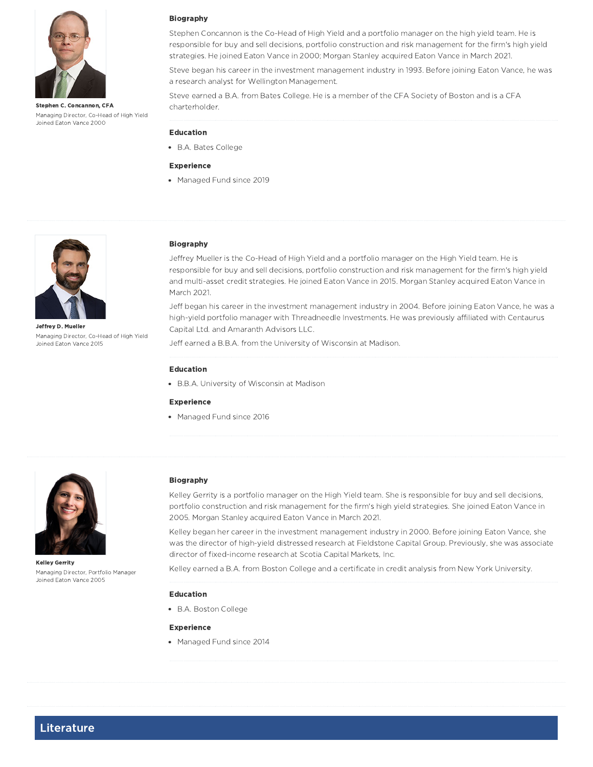

Stephen C. Concannon, CFA Managing Director, Co-Head of High Yield Joined Eaton Vance 2000

#### Biography

Stephen Concannon is the Co-Head of High Yield and a portfolio manager on the high yield team. He is responsible for buy and sell decisions, portfolio construction and risk management for the firm's high yield strategies. He joined Eaton Vance in 2000; Morgan Stanley acquired Eaton Vance in March 2021.

Steve began his career in the investment management industry in 1993. Before joining Eaton Vance, he was a research analyst for Wellington Management.

Steve earned a B.A. from Bates College. He is a member of the CFA Society of Boston and is a CFA charterholder.

#### Education

B.A. Bates College

#### Experience

• Managed Fund since 2019



Jeffrey D. Mueller Managing Director, Co-Head of High Yield Joined Eaton Vance 2015

#### Biography

Jeffrey Mueller is the Co-Head of High Yield and a portfolio manager on the High Yield team. He is responsible for buy and sell decisions, portfolio construction and risk management for the firm's high yield and multi-asset credit strategies. He joined Eaton Vance in 2015. Morgan Stanley acquired Eaton Vance in March 2021.

Jeff began his career in the investment management industry in 2004. Before joining Eaton Vance, he was a high-yield portfolio manager with Threadneedle Investments. He was previously affiliated with Centaurus Capital Ltd. and Amaranth Advisors LLC.

Jeff earned a B.B.A. from the University of Wisconsin at Madison.

#### Education

B.B.A. University of Wisconsin at Madison

#### Experience

• Managed Fund since 2016



Kelley Gerrity Managing Director, Portfolio Manager Joined Eaton Vance 2005

#### Biography

Kelley Gerrity is a portfolio manager on the High Yield team. She is responsible for buy and sell decisions, portfolio construction and risk management for the firm's high yield strategies. She joined Eaton Vance in 2005. Morgan Stanley acquired Eaton Vance in March 2021.

Kelley began her career in the investment management industry in 2000. Before joining Eaton Vance, she was the director of high-yield distressed research at Fieldstone Capital Group. Previously, she was associate director of fixed-income research at Scotia Capital Markets, Inc.

Kelley earned a B.A. from Boston College and a certificate in credit analysis from New York University.

#### Education

B.A. Boston College

#### Experience

• Managed Fund since 2014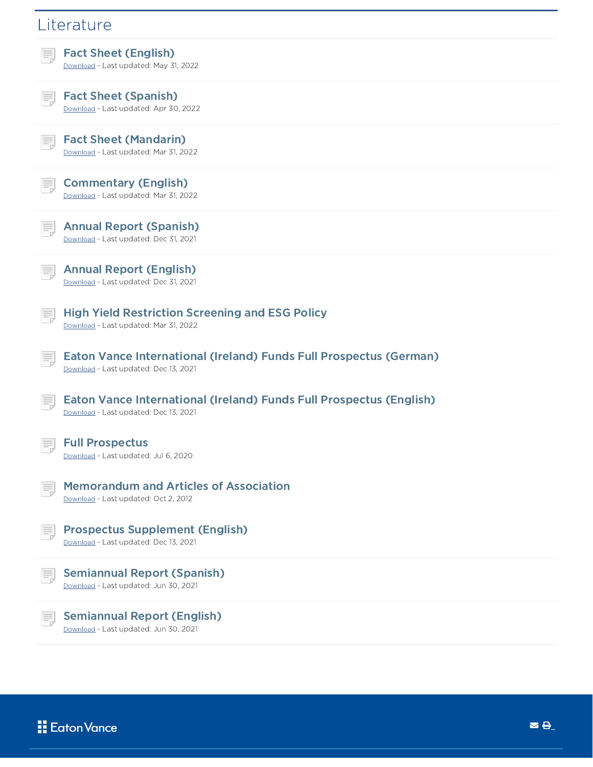| Literature                                                                                                          |
|---------------------------------------------------------------------------------------------------------------------|
| <b>Fact Sheet (English)</b><br>Download - Last updated: May 31, 2022                                                |
| <b>Fact Sheet (Spanish)</b><br>Download - Last updated: Apr 30, 2022                                                |
| <b>Fact Sheet (Mandarin)</b><br>Download - Last updated: Mar 31, 2022                                               |
| <b>Commentary (English)</b><br>Download - Last updated: Mar 31, 2022                                                |
| <b>Annual Report (Spanish)</b><br>Download - Last updated: Dec 31, 2021                                             |
| <b>Annual Report (English)</b><br>Download - Last updated: Dec 31, 2021                                             |
| <b>High Yield Restriction Screening and ESG Policy</b><br>Download - Last updated: Mar 31, 2022                     |
| <b>Eaton Vance International (Ireland) Funds Full Prospectus (German)</b><br>Download - Last updated: Dec 13, 2021  |
| <b>Eaton Vance International (Ireland) Funds Full Prospectus (English)</b><br>Download - Last updated: Dec 13, 2021 |
| <b>Full Prospectus</b><br>Download - Last updated: Jul 6, 2020                                                      |
| <b>Memorandum and Articles of Association</b><br>Download - Last updated: Oct 2, 2012                               |
| <b>Prospectus Supplement (English)</b><br>Download - Last updated: Dec 13, 2021                                     |
| <b>Semiannual Report (Spanish)</b><br>Download - Last updated: Jun 30, 2021                                         |
| <b>Semiannual Report (English)</b><br>Download - Last updated: Jun 30, 2021                                         |